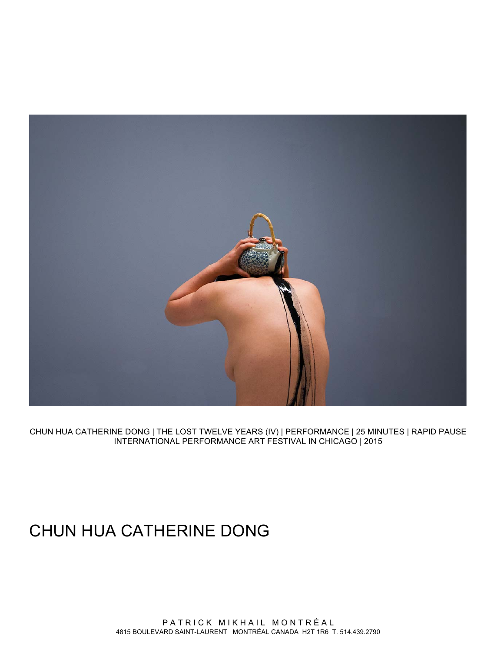

CHUN HUA CATHERINE DONG | THE LOST TWELVE YEARS (IV) | PERFORMANCE | 25 MINUTES | RAPID PAUSE INTERNATIONAL PERFORMANCE ART FESTIVAL IN CHICAGO | 2015

# CHUN HUA CATHERINE DONG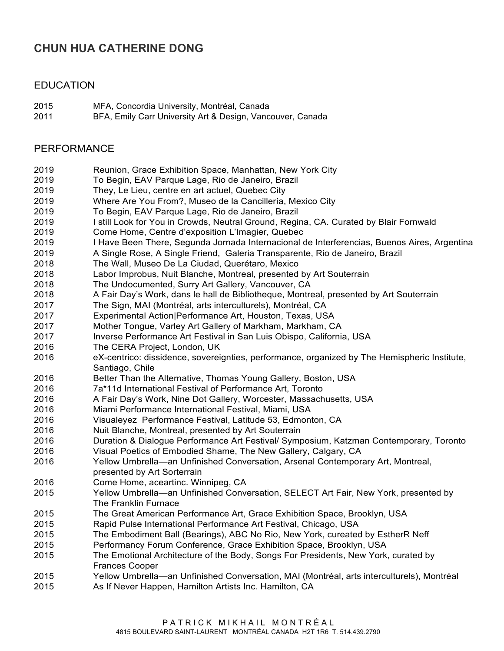# **CHUN HUA CATHERINE DONG**

#### EDUCATION

- MFA, Concordia University, Montréal, Canada
- BFA, Emily Carr University Art & Design, Vancouver, Canada

#### PERFORMANCE

- Reunion, Grace Exhibition Space, Manhattan, New York City
- To Begin, EAV Parque Lage, Rio de Janeiro, Brazil
- They, Le Lieu, centre en art actuel, Quebec City
- Where Are You From?, Museo de la Cancillería, Mexico City
- To Begin, EAV Parque Lage, Rio de Janeiro, Brazil
- I still Look for You in Crowds, Neutral Ground, Regina, CA. Curated by Blair Fornwald
- Come Home, Centre d'exposition L'Imagier, Quebec
- I Have Been There, Segunda Jornada Internacional de Interferencias, Buenos Aires, Argentina
- A Single Rose, A Single Friend, Galeria Transparente, Rio de Janeiro, Brazil
- The Wall, Museo De La Ciudad, Querétaro, Mexico
- Labor Improbus, Nuit Blanche, Montreal, presented by Art Souterrain
- The Undocumented, Surry Art Gallery, Vancouver, CA
- A Fair Day's Work, dans le hall de Bibliotheque, Montreal, presented by Art Souterrain
- The Sign, MAI (Montréal, arts interculturels), Montréal, CA
- Experimental Action|Performance Art, Houston, Texas, USA
- Mother Tongue, Varley Art Gallery of Markham, Markham, CA
- Inverse Performance Art Festival in San Luis Obispo, California, USA
- The CERA Project, London, UK
- eX-centrico: dissidence, sovereignties, performance, organized by The Hemispheric Institute, Santiago, Chile
- Better Than the Alternative, Thomas Young Gallery, Boston, USA
- 7a\*11d International Festival of Performance Art, Toronto
- A Fair Day's Work, Nine Dot Gallery, Worcester, Massachusetts, USA
- Miami Performance International Festival, Miami, USA
- Visualeyez Performance Festival, Latitude 53, Edmonton, CA
- Nuit Blanche, Montreal, presented by Art Souterrain
- Duration & Dialogue Performance Art Festival/ Symposium, Katzman Contemporary, Toronto
- Visual Poetics of Embodied Shame, The New Gallery, Calgary, CA
- Yellow Umbrella—an Unfinished Conversation, Arsenal Contemporary Art, Montreal, presented by Art Sorterrain
- Come Home, aceartinc. Winnipeg, CA
- Yellow Umbrella—an Unfinished Conversation, SELECT Art Fair, New York, presented by The Franklin Furnace
- The Great American Performance Art, Grace Exhibition Space, Brooklyn, USA
- Rapid Pulse International Performance Art Festival, Chicago, USA
- The Embodiment Ball (Bearings), ABC No Rio, New York, cureated by EstherR Neff
- Performancy Forum Conference, Grace Exhibition Space, Brooklyn, USA
- The Emotional Architecture of the Body, Songs For Presidents, New York, curated by Frances Cooper
- Yellow Umbrella—an Unfinished Conversation, MAI (Montréal, arts interculturels), Montréal
- As If Never Happen, Hamilton Artists Inc. Hamilton, CA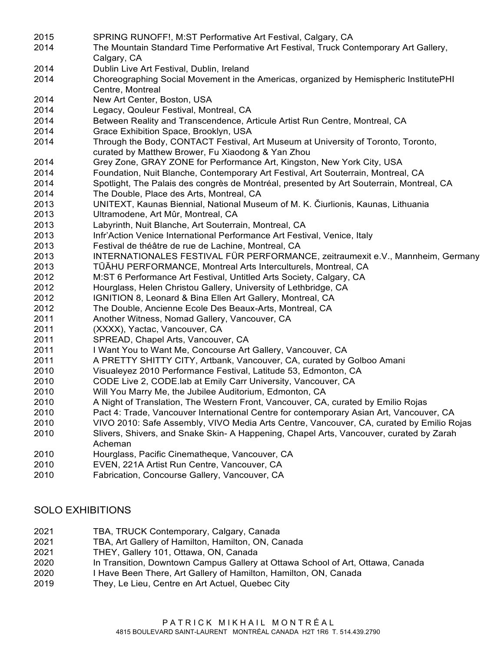SPRING RUNOFF!, M:ST Performative Art Festival, Calgary, CA The Mountain Standard Time Performative Art Festival, Truck Contemporary Art Gallery, Calgary, CA Dublin Live Art Festival, Dublin, Ireland Choreographing Social Movement in the Americas, organized by Hemispheric InstitutePHI Centre, Montreal New Art Center, Boston, USA Legacy, Qouleur Festival, Montreal, CA Between Reality and Transcendence, Articule Artist Run Centre, Montreal, CA Grace Exhibition Space, Brooklyn, USA Through the Body, CONTACT Festival, Art Museum at University of Toronto, Toronto, curated by Matthew Brower, Fu Xiaodong & Yan Zhou Grey Zone, GRAY ZONE for Performance Art, Kingston, New York City, USA Foundation, Nuit Blanche, Contemporary Art Festival, Art Souterrain, Montreal, CA Spotlight, The Palais des congrès de Montréal, presented by Art Souterrain, Montreal, CA The Double, Place des Arts, Montreal, CA UNITEXT, Kaunas Biennial, National Museum of M. K. Čiurlionis, Kaunas, Lithuania Ultramodene, Art Mûr, Montreal, CA Labyrinth, Nuit Blanche, Art Souterrain, Montreal, CA Infr'Action Venice International Performance Art Festival, Venice, Italy Festival de théâtre de rue de Lachine, Montreal, CA INTERNATIONALES FESTIVAL FÜR PERFORMANCE, zeitraumexit e.V., Mannheim, Germany TŪĀHU PERFORMANCE, Montreal Arts Interculturels, Montreal, CA M:ST 6 Performance Art Festival, Untitled Arts Society, Calgary, CA Hourglass, Helen Christou Gallery, University of Lethbridge, CA IGNITION 8, Leonard & Bina Ellen Art Gallery, Montreal, CA The Double, Ancienne Ecole Des Beaux-Arts, Montreal, CA Another Witness, Nomad Gallery, Vancouver, CA (XXXX), Yactac, Vancouver, CA SPREAD, Chapel Arts, Vancouver, CA I Want You to Want Me, Concourse Art Gallery, Vancouver, CA A PRETTY SHITTY CITY, Artbank, Vancouver, CA, curated by Golboo Amani Visualeyez 2010 Performance Festival, Latitude 53, Edmonton, CA CODE Live 2, CODE.lab at Emily Carr University, Vancouver, CA Will You Marry Me, the Jubilee Auditorium, Edmonton, CA A Night of Translation, The Western Front, Vancouver, CA, curated by Emilio Rojas Pact 4: Trade, Vancouver International Centre for contemporary Asian Art, Vancouver, CA VIVO 2010: Safe Assembly, VIVO Media Arts Centre, Vancouver, CA, curated by Emilio Rojas Slivers, Shivers, and Snake Skin- A Happening, Chapel Arts, Vancouver, curated by Zarah Acheman Hourglass, Pacific Cinematheque, Vancouver, CA EVEN, 221A Artist Run Centre, Vancouver, CA Fabrication, Concourse Gallery, Vancouver, CA

## SOLO EXHIBITIONS

- TBA, TRUCK Contemporary, Calgary, Canada
- TBA, Art Gallery of Hamilton, Hamilton, ON, Canada
- THEY, Gallery 101, Ottawa, ON, Canada
- In Transition, Downtown Campus Gallery at Ottawa School of Art, Ottawa, Canada
- I Have Been There, Art Gallery of Hamilton, Hamilton, ON, Canada
- They, Le Lieu, Centre en Art Actuel, Quebec City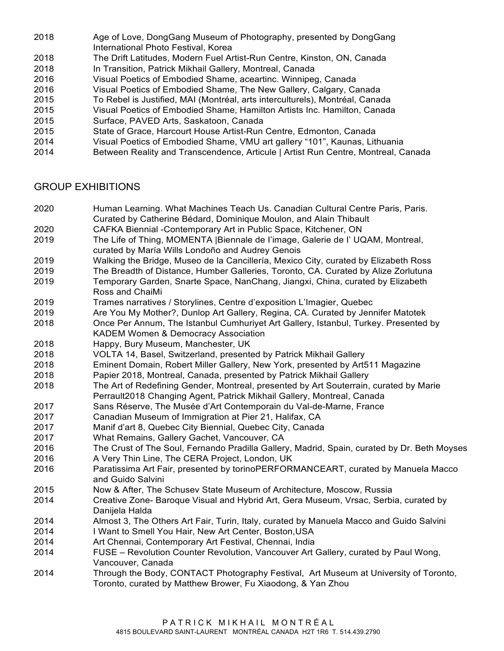- Age of Love, DongGang Museum of Photography, presented by DongGang International Photo Festival, Korea
- The Drift Latitudes, Modern Fuel Artist-Run Centre, Kinston, ON, Canada
- In Transition, Patrick Mikhail Gallery, Montreal, Canada
- Visual Poetics of Embodied Shame, aceartinc. Winnipeg, Canada
- Visual Poetics of Embodied Shame, The New Gallery, Calgary, Canada
- To Rebel is Justified, MAI (Montréal, arts interculturels), Montréal, Canada
- Visual Poetics of Embodied Shame, Hamilton Artists Inc. Hamilton, Canada
- Surface, PAVED Arts, Saskatoon, Canada
- State of Grace, Harcourt House Artist-Run Centre, Edmonton, Canada
- Visual Poetics of Embodied Shame, VMU art gallery "101", Kaunas, Lithuania
- Between Reality and Transcendence, Articule | Artist Run Centre, Montreal, Canada

#### GROUP EXHIBITIONS

- Human Learning. What Machines Teach Us. Canadian Cultural Centre Paris, Paris. Curated by Catherine Bédard, Dominique Moulon, and Alain Thibault
- CAFKA Biennial -Contemporary Art in Public Space, Kitchener, ON
- The Life of Thing, MOMENTA |Biennale de I'image, Galerie de I' UQAM, Montreal, curated by María Wills Londoño and Audrey Genois
- Walking the Bridge, Museo de la Cancillería, Mexico City, curated by Elizabeth Ross
- The Breadth of Distance, Humber Galleries, Toronto, CA. Curated by Alize Zorlutuna
- Temporary Garden, Snarte Space, NanChang, Jiangxi, China, curated by Elizabeth Ross and ChaiMi
- Trames narratives / Storylines, Centre d'exposition L'Imagier, Quebec
- Are You My Mother?, Dunlop Art Gallery, Regina, CA. Curated by Jennifer Matotek
- Once Per Annum, The Istanbul Cumhuriyet Art Gallery, Istanbul, Turkey. Presented by
- KADEM Women & Democracy Association
- Happy, Bury Museum, Manchester, UK
- VOLTA 14, Basel, Switzerland, presented by Patrick Mikhail Gallery
- Eminent Domain, Robert Miller Gallery, New York, presented by Art511 Magazine
- Papier 2018, Montreal, Canada, presented by Patrick Mikhail Gallery
- The Art of Redefining Gender, Montreal, presented by Art Souterrain, curated by Marie Perrault2018 Changing Agent, Patrick Mikhail Gallery, Montreal, Canada
- Sans Réserve, The Musée d'Art Contemporain du Val-de-Marne, France
- Canadian Museum of Immigration at Pier 21, Halifax, CA
- Manif d'art 8, Quebec City Biennial, Quebec City, Canada
- What Remains, Gallery Gachet, Vancouver, CA
- The Crust of The Soul, Fernando Pradilla Gallery, Madrid, Spain, curated by Dr. Beth Moyses
- A Very Thin Line, The CERA Project, London, UK
- Paratissima Art Fair, presented by torinoPERFORMANCEART, curated by Manuela Macco and Guido Salvini
- Now & After, The Schusev State Museum of Architecture, Moscow, Russia
- Creative Zone- Baroque Visual and Hybrid Art, Gera Museum, Vrsac, Serbia, curated by Danijela Halda
- Almost 3, The Others Art Fair, Turin, Italy, curated by Manuela Macco and Guido Salvini
- I Want to Smell You Hair, New Art Center, Boston,USA
- Art Chennai, Contemporary Art Festival, Chennai, India
- FUSE Revolution Counter Revolution, Vancouver Art Gallery, curated by Paul Wong, Vancouver, Canada
- Through the Body, CONTACT Photography Festival, Art Museum at University of Toronto, Toronto, curated by Matthew Brower, Fu Xiaodong, & Yan Zhou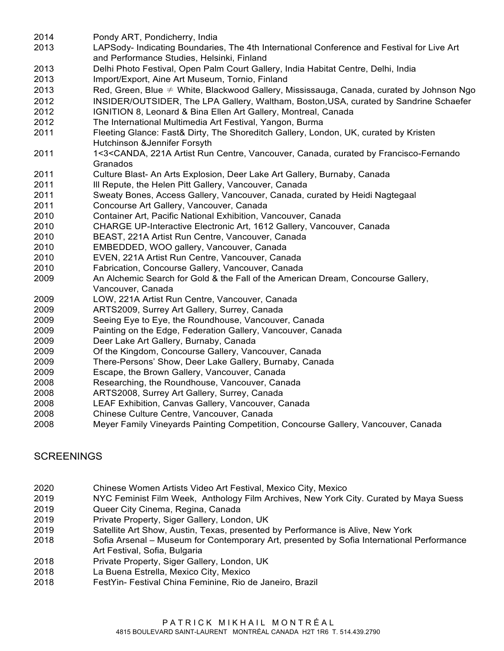- Pondy ART, Pondicherry, India
- LAPSody- Indicating Boundaries, The 4th International Conference and Festival for Live Art and Performance Studies, Helsinki, Finland
- Delhi Photo Festival, Open Palm Court Gallery, India Habitat Centre, Delhi, India
- Import/Export, Aine Art Museum, Tornio, Finland
- 2013 Red, Green, Blue  $\neq$  White, Blackwood Gallery, Mississauga, Canada, curated by Johnson Ngo
- INSIDER/OUTSIDER, The LPA Gallery, Waltham, Boston,USA, curated by Sandrine Schaefer
- IGNITION 8, Leonard & Bina Ellen Art Gallery, Montreal, Canada
- The International Multimedia Art Festival, Yangon, Burma
- Fleeting Glance: Fast& Dirty, The Shoreditch Gallery, London, UK, curated by Kristen Hutchinson &Jennifer Forsyth
- 1<3<CANDA, 221A Artist Run Centre, Vancouver, Canada, curated by Francisco-Fernando Granados
- Culture Blast- An Arts Explosion, Deer Lake Art Gallery, Burnaby, Canada
- **III Repute, the Helen Pitt Gallery, Vancouver, Canada**
- Sweaty Bones, Access Gallery, Vancouver, Canada, curated by Heidi Nagtegaal
- Concourse Art Gallery, Vancouver, Canada
- Container Art, Pacific National Exhibition, Vancouver, Canada
- CHARGE UP-Interactive Electronic Art, 1612 Gallery, Vancouver, Canada
- BEAST, 221A Artist Run Centre, Vancouver, Canada
- EMBEDDED, WOO gallery, Vancouver, Canada
- EVEN, 221A Artist Run Centre, Vancouver, Canada
- Fabrication, Concourse Gallery, Vancouver, Canada
- An Alchemic Search for Gold & the Fall of the American Dream, Concourse Gallery, Vancouver, Canada
- LOW, 221A Artist Run Centre, Vancouver, Canada
- ARTS2009, Surrey Art Gallery, Surrey, Canada
- Seeing Eye to Eye, the Roundhouse, Vancouver, Canada
- Painting on the Edge, Federation Gallery, Vancouver, Canada
- Deer Lake Art Gallery, Burnaby, Canada
- Of the Kingdom, Concourse Gallery, Vancouver, Canada
- There-Persons' Show, Deer Lake Gallery, Burnaby, Canada
- Escape, the Brown Gallery, Vancouver, Canada
- Researching, the Roundhouse, Vancouver, Canada
- ARTS2008, Surrey Art Gallery, Surrey, Canada
- LEAF Exhibition, Canvas Gallery, Vancouver, Canada
- Chinese Culture Centre, Vancouver, Canada
- Meyer Family Vineyards Painting Competition, Concourse Gallery, Vancouver, Canada

## **SCREENINGS**

- Chinese Women Artists Video Art Festival, Mexico City, Mexico
- NYC Feminist Film Week, Anthology Film Archives, New York City. Curated by Maya Suess
- Queer City Cinema, Regina, Canada
- Private Property, Siger Gallery, London, UK
- Satellite Art Show, Austin, Texas, presented by Performance is Alive, New York
- Sofia Arsenal Museum for Contemporary Art, presented by Sofia International Performance Art Festival, Sofia, Bulgaria
- Private Property, Siger Gallery, London, UK
- La Buena Estrella, Mexico City, Mexico
- FestYin- Festival China Feminine, Rio de Janeiro, Brazil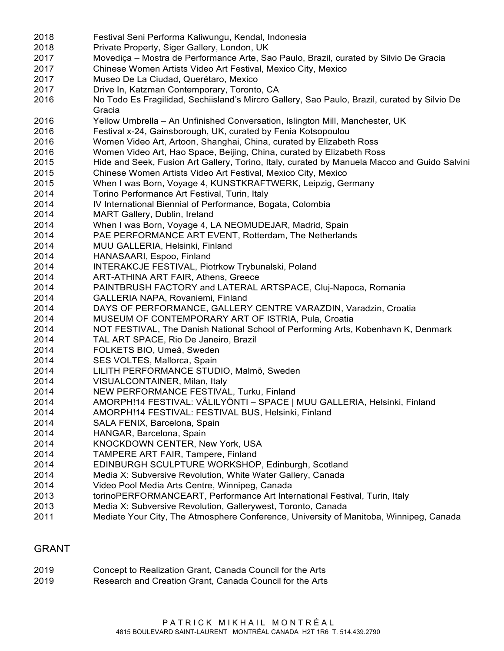Festival Seni Performa Kaliwungu, Kendal, Indonesia Private Property, Siger Gallery, London, UK Movediça – Mostra de Performance Arte, Sao Paulo, Brazil, curated by Silvio De Gracia Chinese Women Artists Video Art Festival, Mexico City, Mexico Museo De La Ciudad, Querétaro, Mexico Drive In, Katzman Contemporary, Toronto, CA No Todo Es Fragilidad, Sechiisland's Mircro Gallery, Sao Paulo, Brazil, curated by Silvio De Gracia Yellow Umbrella – An Unfinished Conversation, Islington Mill, Manchester, UK Festival x-24, Gainsborough, UK, curated by Fenia Kotsopoulou Women Video Art, Artoon, Shanghai, China, curated by Elizabeth Ross Women Video Art, Hao Space, Beijing, China, curated by Elizabeth Ross Hide and Seek, Fusion Art Gallery, Torino, Italy, curated by Manuela Macco and Guido Salvini Chinese Women Artists Video Art Festival, Mexico City, Mexico When I was Born, Voyage 4, KUNSTKRAFTWERK, Leipzig, Germany Torino Performance Art Festival, Turin, Italy IV International Biennial of Performance, Bogata, Colombia MART Gallery, Dublin, Ireland When I was Born, Voyage 4, LA NEOMUDEJAR, Madrid, Spain PAE PERFORMANCE ART EVENT, Rotterdam, The Netherlands MUU GALLERIA, Helsinki, Finland HANASAARI, Espoo, Finland INTERAKCJE FESTIVAL, Piotrkow Trybunalski, Poland ART-ATHINA ART FAIR, Athens, Greece PAINTBRUSH FACTORY and LATERAL ARTSPACE, Cluj-Napoca, Romania GALLERIA NAPA, Rovaniemi, Finland DAYS OF PERFORMANCE, GALLERY CENTRE VARAZDIN, Varadzin, Croatia MUSEUM OF CONTEMPORARY ART OF ISTRIA, Pula, Croatia NOT FESTIVAL, The Danish National School of Performing Arts, Kobenhavn K, Denmark TAL ART SPACE, Rio De Janeiro, Brazil FOLKETS BIO, Umeå, Sweden SES VOLTES, Mallorca, Spain LILITH PERFORMANCE STUDIO, Malmö, Sweden VISUALCONTAINER, Milan, Italy NEW PERFORMANCE FESTIVAL, Turku, Finland AMORPH!14 FESTIVAL: VÄLILYÖNTI – SPACE | MUU GALLERIA, Helsinki, Finland AMORPH!14 FESTIVAL: FESTIVAL BUS, Helsinki, Finland SALA FENIX, Barcelona, Spain HANGAR, Barcelona, Spain KNOCKDOWN CENTER, New York, USA TAMPERE ART FAIR, Tampere, Finland EDINBURGH SCULPTURE WORKSHOP, Edinburgh, Scotland Media X: Subversive Revolution, White Water Gallery, Canada Video Pool Media Arts Centre, Winnipeg, Canada torinoPERFORMANCEART, Performance Art International Festival, Turin, Italy Media X: Subversive Revolution, Gallerywest, Toronto, Canada Mediate Your City, The Atmosphere Conference, University of Manitoba, Winnipeg, Canada

#### GRANT

| 2019 | Concept to Realization Grant, Canada Council for the Arts |
|------|-----------------------------------------------------------|
| 2010 | Becograph and Croation Crapt, Canada Council for the Arte |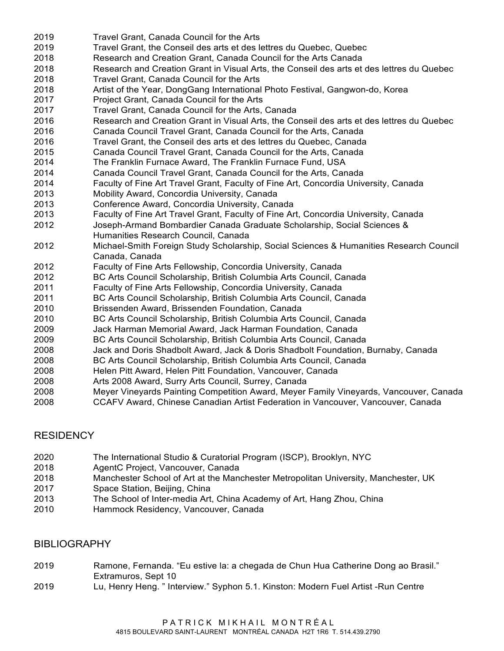- Travel Grant, Canada Council for the Arts Travel Grant, the Conseil des arts et des lettres du Quebec, Quebec Research and Creation Grant, Canada Council for the Arts Canada Research and Creation Grant in Visual Arts, the Conseil des arts et des lettres du Quebec Travel Grant, Canada Council for the Arts Artist of the Year, DongGang International Photo Festival, Gangwon-do, Korea Project Grant, Canada Council for the Arts Travel Grant, Canada Council for the Arts, Canada Research and Creation Grant in Visual Arts, the Conseil des arts et des lettres du Quebec Canada Council Travel Grant, Canada Council for the Arts, Canada Travel Grant, the Conseil des arts et des lettres du Quebec, Canada Canada Council Travel Grant, Canada Council for the Arts, Canada The Franklin Furnace Award, The Franklin Furnace Fund, USA Canada Council Travel Grant, Canada Council for the Arts, Canada Faculty of Fine Art Travel Grant, Faculty of Fine Art, Concordia University, Canada Mobility Award, Concordia University, Canada Conference Award, Concordia University, Canada Faculty of Fine Art Travel Grant, Faculty of Fine Art, Concordia University, Canada Joseph-Armand Bombardier Canada Graduate Scholarship, Social Sciences & Humanities Research Council, Canada Michael-Smith Foreign Study Scholarship, Social Sciences & Humanities Research Council Canada, Canada Faculty of Fine Arts Fellowship, Concordia University, Canada BC Arts Council Scholarship, British Columbia Arts Council, Canada Faculty of Fine Arts Fellowship, Concordia University, Canada BC Arts Council Scholarship, British Columbia Arts Council, Canada Brissenden Award, Brissenden Foundation, Canada BC Arts Council Scholarship, British Columbia Arts Council, Canada Jack Harman Memorial Award, Jack Harman Foundation, Canada BC Arts Council Scholarship, British Columbia Arts Council, Canada Jack and Doris Shadbolt Award, Jack & Doris Shadbolt Foundation, Burnaby, Canada BC Arts Council Scholarship, British Columbia Arts Council, Canada Helen Pitt Award, Helen Pitt Foundation, Vancouver, Canada Arts 2008 Award, Surry Arts Council, Surrey, Canada Meyer Vineyards Painting Competition Award, Meyer Family Vineyards, Vancouver, Canada
- CCAFV Award, Chinese Canadian Artist Federation in Vancouver, Vancouver, Canada

## RESIDENCY

- The International Studio & Curatorial Program (ISCP), Brooklyn, NYC
- AgentC Project, Vancouver, Canada
- Manchester School of Art at the Manchester Metropolitan University, Manchester, UK
- Space Station, Beijing, China
- The School of Inter-media Art, China Academy of Art, Hang Zhou, China
- Hammock Residency, Vancouver, Canada

## BIBLIOGRAPHY

- Ramone, Fernanda. "Eu estive la: a chegada de Chun Hua Catherine Dong ao Brasil." Extramuros, Sept 10
- Lu, Henry Heng. " Interview." Syphon 5.1. Kinston: Modern Fuel Artist -Run Centre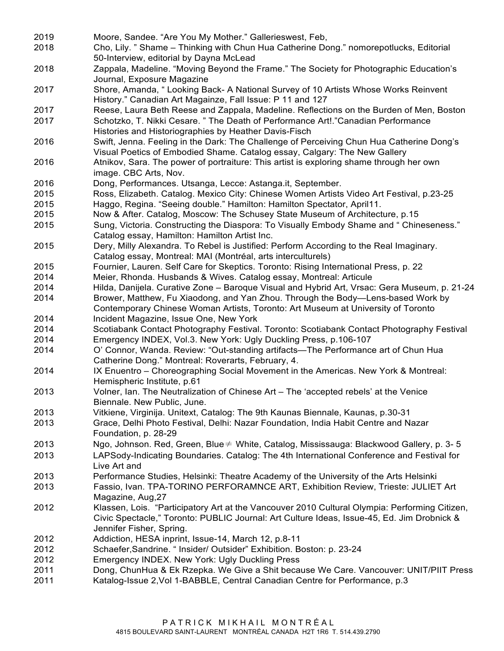Moore, Sandee. "Are You My Mother." Gallerieswest, Feb, Cho, Lily. " Shame – Thinking with Chun Hua Catherine Dong." nomorepotlucks, Editorial 50-Interview, editorial by Dayna McLead Zappala, Madeline. "Moving Beyond the Frame." The Society for Photographic Education's Journal, Exposure Magazine Shore, Amanda, " Looking Back- A National Survey of 10 Artists Whose Works Reinvent History." Canadian Art Magainze, Fall Issue: P 11 and 127 Reese, Laura Beth Reese and Zappala, Madeline. Reflections on the Burden of Men, Boston Schotzko, T. Nikki Cesare. " The Death of Performance Art!."Canadian Performance Histories and Historiographies by Heather Davis-Fisch Swift, Jenna. Feeling in the Dark: The Challenge of Perceiving Chun Hua Catherine Dong's Visual Poetics of Embodied Shame. Catalog essay, Calgary: The New Gallery Atnikov, Sara. The power of portraiture: This artist is exploring shame through her own image. CBC Arts, Nov. Dong, Performances. Utsanga, Lecce: Astanga.it, September. Ross, Elizabeth. Catalog. Mexico City: Chinese Women Artists Video Art Festival, p.23-25 Haggo, Regina. "Seeing double." Hamilton: Hamilton Spectator, April11. Now & After. Catalog, Moscow: The Schusey State Museum of Architecture, p.15 Sung, Victoria. Constructing the Diaspora: To Visually Embody Shame and " Chineseness." Catalog essay, Hamilton: Hamilton Artist Inc. Dery, Milly Alexandra. To Rebel is Justified: Perform According to the Real Imaginary. Catalog essay, Montreal: MAI (Montréal, arts interculturels) Fournier, Lauren. Self Care for Skeptics. Toronto: Rising International Press, p. 22 Meier, Rhonda. Husbands & Wives. Catalog essay, Montreal: Articule Hilda, Danijela. Curative Zone – Baroque Visual and Hybrid Art, Vrsac: Gera Museum, p. 21-24 Brower, Matthew, Fu Xiaodong, and Yan Zhou. Through the Body—Lens-based Work by Contemporary Chinese Woman Artists, Toronto: Art Museum at University of Toronto Incident Magazine, Issue One, New York Scotiabank Contact Photography Festival. Toronto: Scotiabank Contact Photography Festival Emergency INDEX, Vol.3. New York: Ugly Duckling Press, p.106-107 O' Connor, Wanda. Review: "Out-standing artifacts—The Performance art of Chun Hua Catherine Dong." Montreal: Roverarts, February, 4. IX Enuentro – Choreographing Social Movement in the Americas. New York & Montreal: Hemispheric Institute, p.61 Volner, Ian. The Neutralization of Chinese Art – The 'accepted rebels' at the Venice Biennale. New Public, June. Vitkiene, Virginija. Unitext, Catalog: The 9th Kaunas Biennale, Kaunas, p.30-31 Grace, Delhi Photo Festival, Delhi: Nazar Foundation, India Habit Centre and Nazar Foundation, p. 28-29 Ngo, Johnson. Red, Green, Blue≠ White, Catalog, Mississauga: Blackwood Gallery, p. 3- 5 LAPSody-Indicating Boundaries. Catalog: The 4th International Conference and Festival for Live Art and Performance Studies, Helsinki: Theatre Academy of the University of the Arts Helsinki Fassio, Ivan. TPA-TORINO PERFORAMNCE ART, Exhibition Review, Trieste: JULIET Art Magazine, Aug,27 Klassen, Lois. "Participatory Art at the Vancouver 2010 Cultural Olympia: Performing Citizen, Civic Spectacle," Toronto: PUBLIC Journal: Art Culture Ideas, Issue-45, Ed. Jim Drobnick & Jennifer Fisher, Spring. Addiction, HESA inprint, Issue-14, March 12, p.8-11 Schaefer,Sandrine. " Insider/ Outsider" Exhibition. Boston: p. 23-24 Emergency INDEX. New York: Ugly Duckling Press Dong, ChunHua & Ek Rzepka. We Give a Shit because We Care. Vancouver: UNIT/PIIT Press Katalog-Issue 2,Vol 1-BABBLE, Central Canadian Centre for Performance, p.3